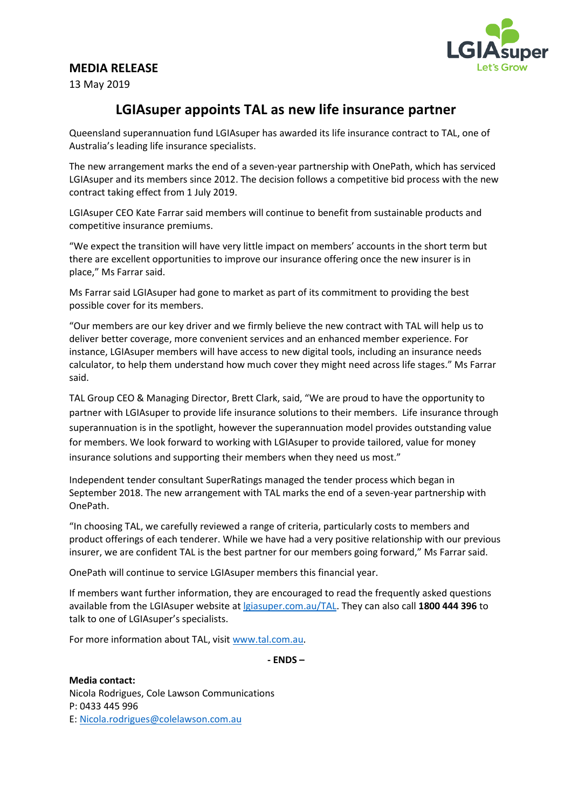## **MEDIA RELEASE**



13 May 2019

# **LGIAsuper appoints TAL as new life insurance partner**

Queensland superannuation fund LGIAsuper has awarded its life insurance contract to TAL, one of Australia's leading life insurance specialists.

The new arrangement marks the end of a seven-year partnership with OnePath, which has serviced LGIAsuper and its members since 2012. The decision follows a competitive bid process with the new contract taking effect from 1 July 2019.

LGIAsuper CEO Kate Farrar said members will continue to benefit from sustainable products and competitive insurance premiums.

"We expect the transition will have very little impact on members' accounts in the short term but there are excellent opportunities to improve our insurance offering once the new insurer is in place," Ms Farrar said.

Ms Farrar said LGIAsuper had gone to market as part of its commitment to providing the best possible cover for its members.

"Our members are our key driver and we firmly believe the new contract with TAL will help us to deliver better coverage, more convenient services and an enhanced member experience. For instance, LGIAsuper members will have access to new digital tools, including an insurance needs calculator, to help them understand how much cover they might need across life stages." Ms Farrar said.

TAL Group CEO & Managing Director, Brett Clark, said, "We are proud to have the opportunity to partner with LGIAsuper to provide life insurance solutions to their members. Life insurance through superannuation is in the spotlight, however the superannuation model provides outstanding value for members. We look forward to working with LGIAsuper to provide tailored, value for money insurance solutions and supporting their members when they need us most."

Independent tender consultant SuperRatings managed the tender process which began in September 2018. The new arrangement with TAL marks the end of a seven-year partnership with OnePath.

"In choosing TAL, we carefully reviewed a range of criteria, particularly costs to members and product offerings of each tenderer. While we have had a very positive relationship with our previous insurer, we are confident TAL is the best partner for our members going forward," Ms Farrar said.

OnePath will continue to service LGIAsuper members this financial year.

If members want further information, they are encouraged to read the frequently asked questions available from the LGIAsuper website at [lgiasuper.com.au/TAL.](https://www.lgiasuper.com.au/TAL) They can also call **1800 444 396** to talk to one of LGIAsuper's specialists.

For more information about TAL, visit [www.tal.com.au.](http://www.tal.com.au/)

**- ENDS –**

**Media contact:**  Nicola Rodrigues, Cole Lawson Communications P: 0433 445 996 E: Nicola.rodrigues@colelawson.com.au